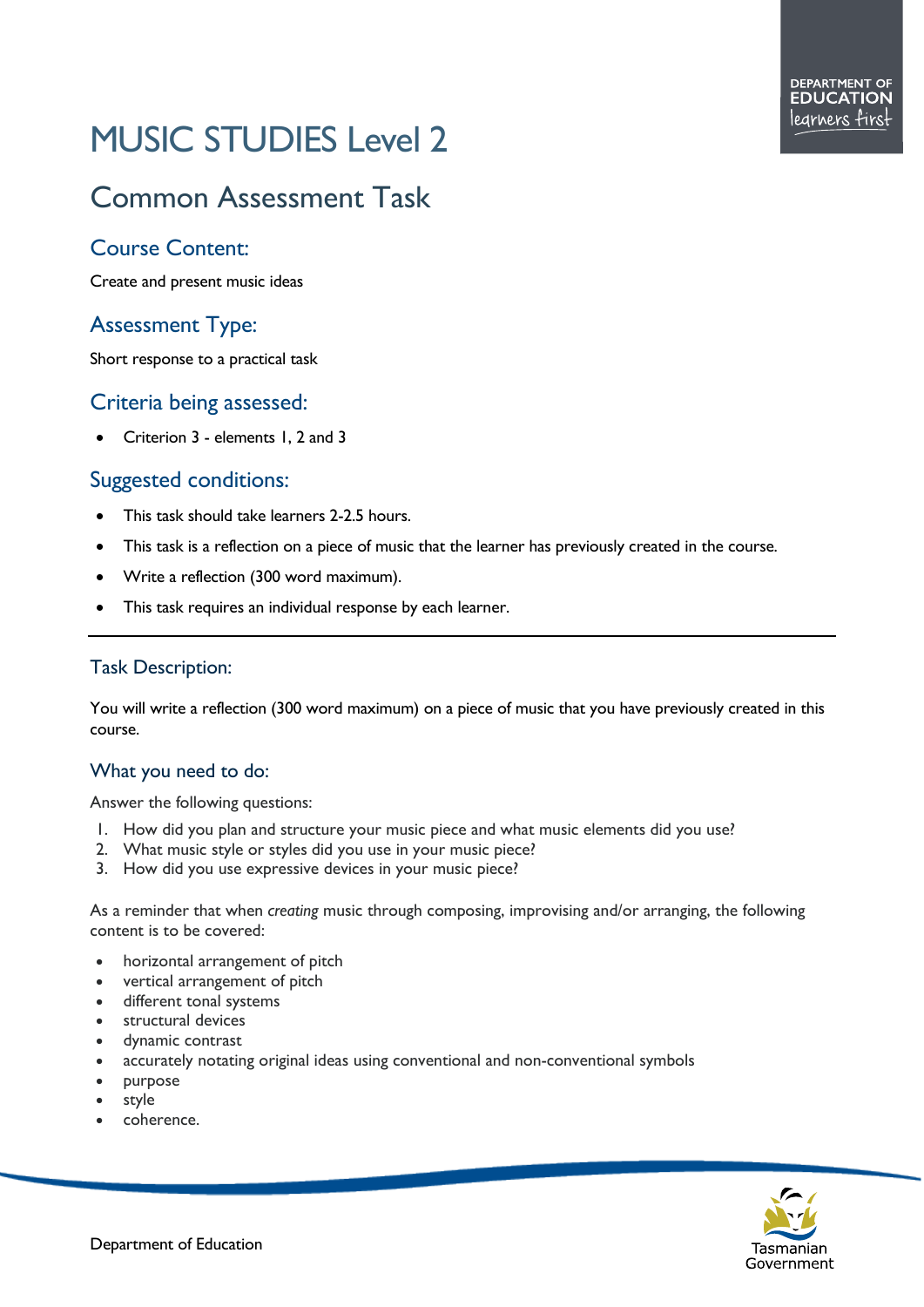# MUSIC STUDIES Level 2

# Common Assessment Task

## Course Content:

Create and present music ideas

# Assessment Type:

Short response to a practical task

#### Criteria being assessed:

• Criterion 3 - elements 1, 2 and 3

### Suggested conditions:

- This task should take learners 2-2.5 hours.
- This task is a reflection on a piece of music that the learner has previously created in the course.
- Write a reflection (300 word maximum).
- This task requires an individual response by each learner.

#### Task Description:

You will write a reflection (300 word maximum) on a piece of music that you have previously created in this course.

#### What you need to do:

Answer the following questions:

- 1. How did you plan and structure your music piece and what music elements did you use?
- 2. What music style or styles did you use in your music piece?
- 3. How did you use expressive devices in your music piece?

As a reminder that when *creating* music through composing, improvising and/or arranging, the following content is to be covered:

- horizontal arrangement of pitch
- vertical arrangement of pitch
- different tonal systems
- structural devices
- dynamic contrast
- accurately notating original ideas using conventional and non-conventional symbols
- purpose
- style
- coherence.